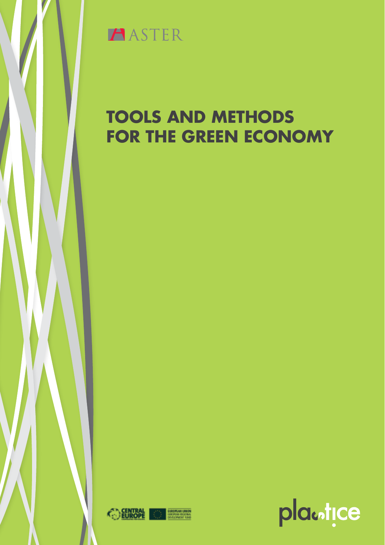

### **TOOLS AND METHODS FOR THE GREEN ECONOMY**





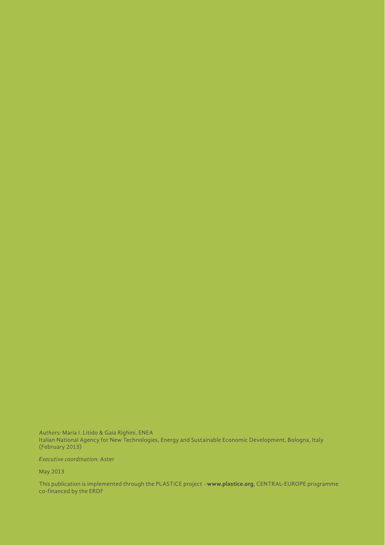*Authors:* Maria I. Litido & Gaia Righini, ENEA Italian National Agency for New Technologies, Energy and Sustainable Economic Development, Bologna, Italy (February 2013)

*Executive coordination*: Aster

May 2013

This publication is implemented through the PLASTiCE project - **www.plastice.org**, CENTRAL-EUROPE programme co-financed by the ERDF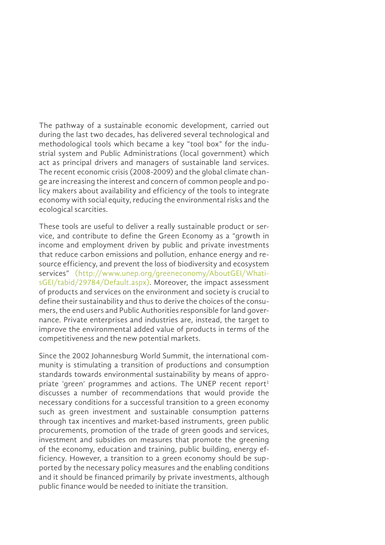The pathway of a sustainable economic development, carried out during the last two decades, has delivered several technological and methodological tools which became a key "tool box" for the industrial system and Public Administrations (local government) which act as principal drivers and managers of sustainable land services. The recent economic crisis (2008-2009) and the global climate change are increasing the interest and concern of common people and policy makers about availability and efficiency of the tools to integrate economy with social equity, reducing the environmental risks and the ecological scarcities.

These tools are useful to deliver a really sustainable product or service, and contribute to define the Green Economy as a "growth in income and employment driven by public and private investments that reduce carbon emissions and pollution, enhance energy and resource efficiency, and prevent the loss of biodiversity and ecosystem services" (http://www.unep.org/greeneconomy/AboutGEI/WhatisGEI/tabid/29784/Default.aspx). Moreover, the impact assessment of products and services on the environment and society is crucial to define their sustainability and thus to derive the choices of the consumers, the end users and Public Authorities responsible for land governance. Private enterprises and industries are, instead, the target to improve the environmental added value of products in terms of the competitiveness and the new potential markets.

Since the 2002 Johannesburg World Summit, the international community is stimulating a transition of productions and consumption standards towards environmental sustainability by means of appropriate 'green' programmes and actions. The UNEP recent report $1$ discusses a number of recommendations that would provide the necessary conditions for a successful transition to a green economy such as green investment and sustainable consumption patterns through tax incentives and market-based instruments, green public procurements, promotion of the trade of green goods and services, investment and subsidies on measures that promote the greening of the economy, education and training, public building, energy efficiency. However, a transition to a green economy should be supported by the necessary policy measures and the enabling conditions and it should be financed primarily by private investments, although public finance would be needed to initiate the transition.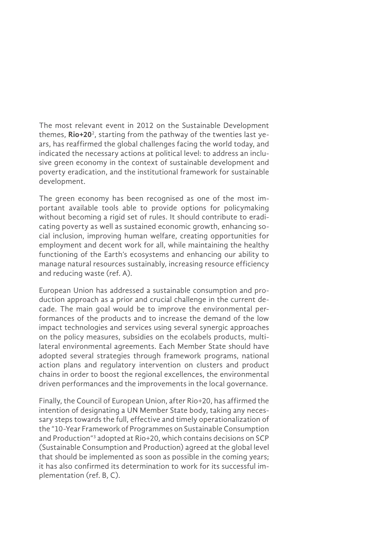The most relevant event in 2012 on the Sustainable Development themes, **Rio+20**<sup>2</sup>, starting from the pathway of the twenties last years, has reaffirmed the global challenges facing the world today, and indicated the necessary actions at political level: to address an inclusive green economy in the context of sustainable development and poverty eradication, and the institutional framework for sustainable development.

The green economy has been recognised as one of the most important available tools able to provide options for policymaking without becoming a rigid set of rules. It should contribute to eradicating poverty as well as sustained economic growth, enhancing social inclusion, improving human welfare, creating opportunities for employment and decent work for all, while maintaining the healthy functioning of the Earth's ecosystems and enhancing our ability to manage natural resources sustainably, increasing resource efficiency and reducing waste (ref. A).

European Union has addressed a sustainable consumption and production approach as a prior and crucial challenge in the current decade. The main goal would be to improve the environmental performances of the products and to increase the demand of the low impact technologies and services using several synergic approaches on the policy measures, subsidies on the ecolabels products, multilateral environmental agreements. Each Member State should have adopted several strategies through framework programs, national action plans and regulatory intervention on clusters and product chains in order to boost the regional excellences, the environmental driven performances and the improvements in the local governance.

Finally, the Council of European Union, after Rio+20, has affirmed the intention of designating a UN Member State body, taking any necessary steps towards the full, effective and timely operationalization of the "10-Year Framework of Programmes on Sustainable Consumption and Production"<sup>3</sup> adopted at Rio+20, which contains decisions on SCP (Sustainable Consumption and Production) agreed at the global level that should be implemented as soon as possible in the coming years; it has also confirmed its determination to work for its successful implementation (ref. B, C).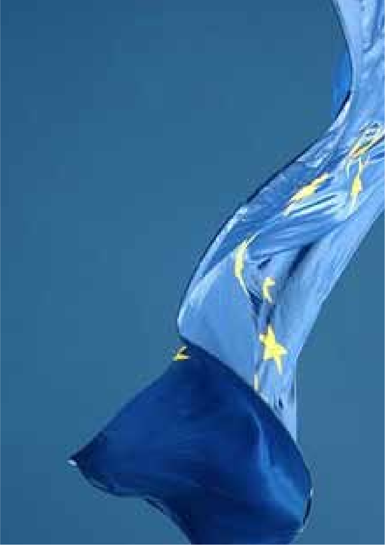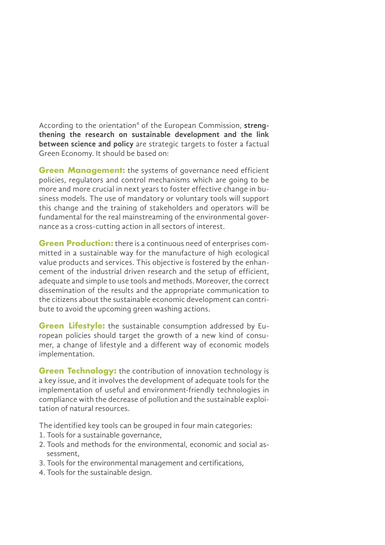According to the orientation<sup>4</sup> of the European Commission, **strengthening the research on sustainable development and the link between science and policy** are strategic targets to foster a factual Green Economy. It should be based on:

**Green Management:** the systems of governance need efficient policies, regulators and control mechanisms which are going to be more and more crucial in next years to foster effective change in business models. The use of mandatory or voluntary tools will support this change and the training of stakeholders and operators will be fundamental for the real mainstreaming of the environmental governance as a cross-cutting action in all sectors of interest.

**Green Production:** there is a continuous need of enterprises committed in a sustainable way for the manufacture of high ecological value products and services. This objective is fostered by the enhancement of the industrial driven research and the setup of efficient, adequate and simple to use tools and methods. Moreover, the correct dissemination of the results and the appropriate communication to the citizens about the sustainable economic development can contribute to avoid the upcoming green washing actions.

**Green Lifestyle:** the sustainable consumption addressed by European policies should target the growth of a new kind of consumer, a change of lifestyle and a different way of economic models implementation.

**Green Technology:** the contribution of innovation technology is a key issue, and it involves the development of adequate tools for the implementation of useful and environment-friendly technologies in compliance with the decrease of pollution and the sustainable exploitation of natural resources.

The identified key tools can be grouped in four main categories:

- 1. Tools for a sustainable governance,
- 2. Tools and methods for the environmental, economic and social assessment,
- 3. Tools for the environmental management and certifications,
- 4. Tools for the sustainable design.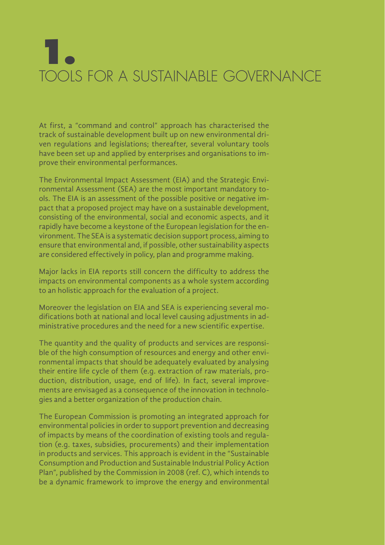# **1.** Tools for a sustainable governance

At first, a "command and control" approach has characterised the track of sustainable development built up on new environmental driven regulations and legislations; thereafter, several voluntary tools have been set up and applied by enterprises and organisations to improve their environmental performances.

The Environmental Impact Assessment (EIA) and the Strategic Environmental Assessment (SEA) are the most important mandatory tools. The EIA is an assessment of the possible positive or negative impact that a proposed project may have on a sustainable development, consisting of the environmental, social and economic aspects, and it rapidly have become a keystone of the European legislation for the environment. The SEA is a systematic decision support process, aiming to ensure that environmental and, if possible, other sustainability aspects are considered effectively in policy, plan and programme making.

Major lacks in EIA reports still concern the difficulty to address the impacts on environmental components as a whole system according to an holistic approach for the evaluation of a project.

Moreover the legislation on EIA and SEA is experiencing several modifications both at national and local level causing adjustments in administrative procedures and the need for a new scientific expertise.

The quantity and the quality of products and services are responsible of the high consumption of resources and energy and other environmental impacts that should be adequately evaluated by analysing their entire life cycle of them (e.g. extraction of raw materials, production, distribution, usage, end of life). In fact, several improvements are envisaged as a consequence of the innovation in technologies and a better organization of the production chain.

The European Commission is promoting an integrated approach for environmental policies in order to support prevention and decreasing of impacts by means of the coordination of existing tools and regulation (e.g. taxes, subsidies, procurements) and their implementation in products and services. This approach is evident in the "Sustainable Consumption and Production and Sustainable Industrial Policy Action Plan", published by the Commission in 2008 (ref. C), which intends to be a dynamic framework to improve the energy and environmental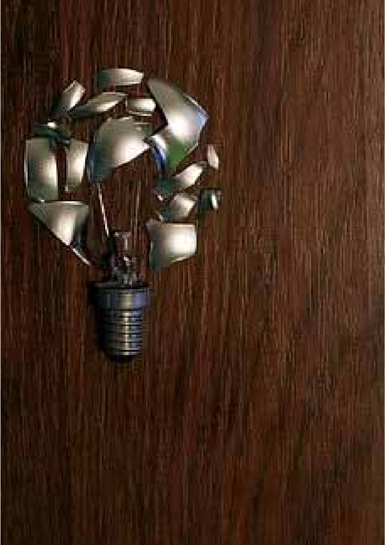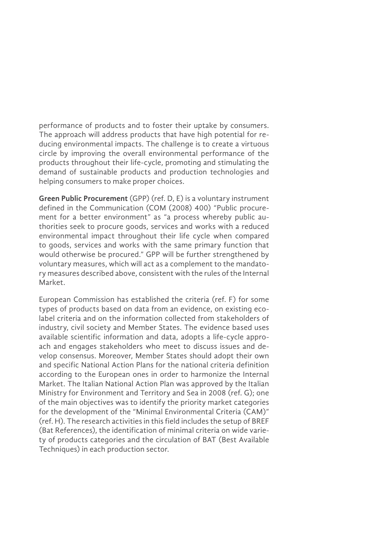performance of products and to foster their uptake by consumers. The approach will address products that have high potential for reducing environmental impacts. The challenge is to create a virtuous circle by improving the overall environmental performance of the products throughout their life-cycle, promoting and stimulating the demand of sustainable products and production technologies and helping consumers to make proper choices.

**Green Public Procurement** (GPP) (ref. D, E) is a voluntary instrument defined in the Communication (COM (2008) 400) "Public procurement for a better environment" as "a process whereby public authorities seek to procure goods, services and works with a reduced environmental impact throughout their life cycle when compared to goods, services and works with the same primary function that would otherwise be procured." GPP will be further strengthened by voluntary measures, which will act as a complement to the mandatory measures described above, consistent with the rules of the Internal Market.

European Commission has established the criteria (ref. F) for some types of products based on data from an evidence, on existing ecolabel criteria and on the information collected from stakeholders of industry, civil society and Member States. The evidence based uses available scientific information and data, adopts a life-cycle approach and engages stakeholders who meet to discuss issues and develop consensus. Moreover, Member States should adopt their own and specific National Action Plans for the national criteria definition according to the European ones in order to harmonize the Internal Market. The Italian National Action Plan was approved by the Italian Ministry for Environment and Territory and Sea in 2008 (ref. G); one of the main objectives was to identify the priority market categories for the development of the "Minimal Environmental Criteria (CAM)" (ref. H). The research activities in this field includes the setup of BREF (Bat References), the identification of minimal criteria on wide variety of products categories and the circulation of BAT (Best Available Techniques) in each production sector.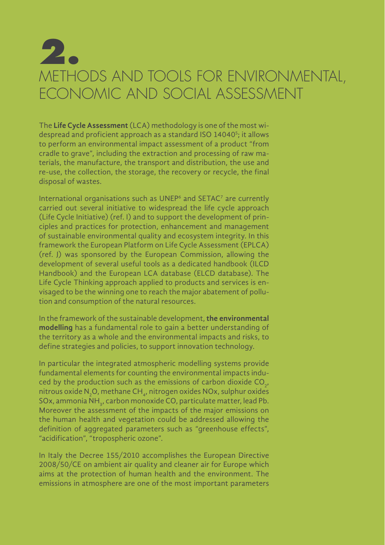### **2.** Methods and tools for environmental, economic and social assessment

The **Life Cycle Assessment** (LCA) methodology is one of the most widespread and proficient approach as a standard ISO 140405 ; it allows to perform an environmental impact assessment of a product "from cradle to grave", including the extraction and processing of raw materials, the manufacture, the transport and distribution, the use and re-use, the collection, the storage, the recovery or recycle, the final disposal of wastes.

International organisations such as UNEP $^6$  and SETAC<sup>7</sup> are currently carried out several initiative to widespread the life cycle approach (Life Cycle Initiative) (ref. I) and to support the development of principles and practices for protection, enhancement and management of sustainable environmental quality and ecosystem integrity. In this framework the European Platform on Life Cycle Assessment (EPLCA) (ref. J) was sponsored by the European Commission, allowing the development of several useful tools as a dedicated handbook (ILCD Handbook) and the European LCA database (ELCD database). The Life Cycle Thinking approach applied to products and services is envisaged to be the winning one to reach the major abatement of pollution and consumption of the natural resources.

In the framework of the sustainable development, **the environmental modelling** has a fundamental role to gain a better understanding of the territory as a whole and the environmental impacts and risks, to define strategies and policies, to support innovation technology.

In particular the integrated atmospheric modelling systems provide fundamental elements for counting the environmental impacts induced by the production such as the emissions of carbon dioxide CO $_{\textrm{\tiny{2'}}}$ nitrous oxide N<sub>2</sub>O, methane CH<sub>4</sub>, nitrogen oxides NOx, sulphur oxides SOx, ammonia NH<sub>3</sub>, carbon monoxide CO, particulate matter, lead Pb. Moreover the assessment of the impacts of the major emissions on the human health and vegetation could be addressed allowing the definition of aggregated parameters such as "greenhouse effects", "acidification", "tropospheric ozone".

In Italy the Decree 155/2010 accomplishes the European Directive 2008/50/CE on ambient air quality and cleaner air for Europe which aims at the protection of human health and the environment. The emissions in atmosphere are one of the most important parameters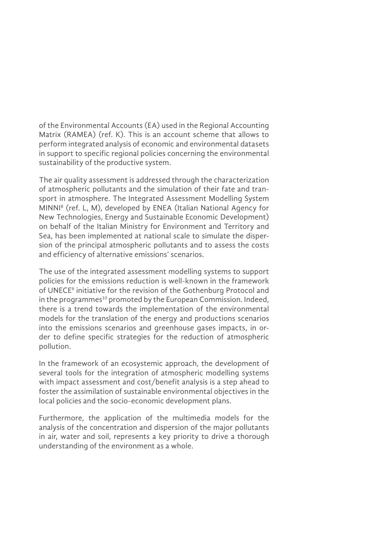of the Environmental Accounts (EA) used in the Regional Accounting Matrix (RAMEA) (ref. K). This is an account scheme that allows to perform integrated analysis of economic and environmental datasets in support to specific regional policies concerning the environmental sustainability of the productive system.

The air quality assessment is addressed through the characterization of atmospheric pollutants and the simulation of their fate and transport in atmosphere. The Integrated Assessment Modelling System MINNI8 (ref. L, M), developed by ENEA (Italian National Agency for New Technologies, Energy and Sustainable Economic Development) on behalf of the Italian Ministry for Environment and Territory and Sea, has been implemented at national scale to simulate the dispersion of the principal atmospheric pollutants and to assess the costs and efficiency of alternative emissions' scenarios.

The use of the integrated assessment modelling systems to support policies for the emissions reduction is well-known in the framework of UNECE<sup>9</sup> initiative for the revision of the Gothenburg Protocol and in the programmes<sup>10</sup> promoted by the European Commission. Indeed, there is a trend towards the implementation of the environmental models for the translation of the energy and productions scenarios into the emissions scenarios and greenhouse gases impacts, in order to define specific strategies for the reduction of atmospheric pollution.

In the framework of an ecosystemic approach, the development of several tools for the integration of atmospheric modelling systems with impact assessment and cost/benefit analysis is a step ahead to foster the assimilation of sustainable environmental objectives in the local policies and the socio-economic development plans.

Furthermore, the application of the multimedia models for the analysis of the concentration and dispersion of the major pollutants in air, water and soil, represents a key priority to drive a thorough understanding of the environment as a whole.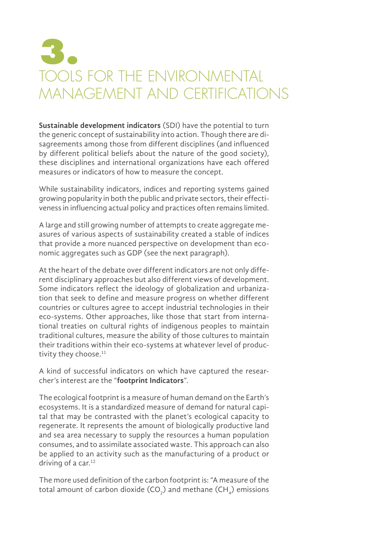## **3.** Tools for the environmental management and certifications

**Sustainable development indicators** (SDI) have the potential to turn the generic concept of sustainability into action. Though there are disagreements among those from different disciplines (and influenced by different political beliefs about the nature of the good society), these disciplines and international organizations have each offered measures or indicators of how to measure the concept.

While sustainability indicators, indices and reporting systems gained growing popularity in both the public and private sectors, their effectiveness in influencing actual policy and practices often remains limited.

A large and still growing number of attempts to create aggregate measures of various aspects of sustainability created a stable of indices that provide a more nuanced perspective on development than economic aggregates such as GDP (see the next paragraph).

At the heart of the debate over different indicators are not only different disciplinary approaches but also different views of development. Some indicators reflect the ideology of globalization and urbanization that seek to define and measure progress on whether different countries or cultures agree to accept industrial technologies in their eco-systems. Other approaches, like those that start from international treaties on cultural rights of indigenous peoples to maintain traditional cultures, measure the ability of those cultures to maintain their traditions within their eco-systems at whatever level of productivity they choose.<sup>11</sup>

A kind of successful indicators on which have captured the researcher's interest are the "**footprint Indicators**".

The ecological footprint is a measure of human demand on the Earth's ecosystems. It is a standardized measure of demand for natural capital that may be contrasted with the planet's ecological capacity to regenerate. It represents the amount of biologically productive land and sea area necessary to supply the resources a human population consumes, and to assimilate associated waste. This approach can also be applied to an activity such as the manufacturing of a product or driving of a car. $12$ 

The more used definition of the carbon footprint is: "A measure of the total amount of carbon dioxide (CO $_{_2}$ ) and methane (CH $_{_4}$ ) emissions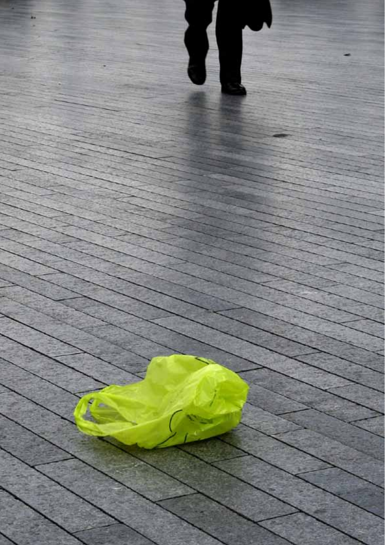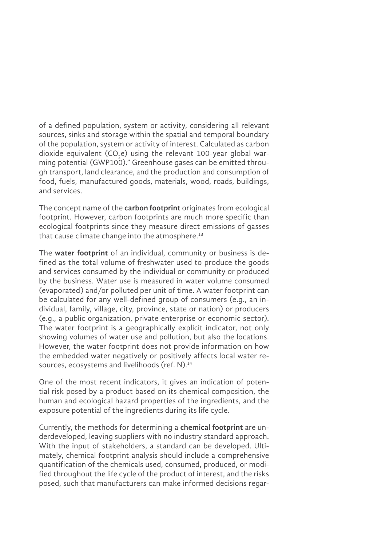of a defined population, system or activity, considering all relevant sources, sinks and storage within the spatial and temporal boundary of the population, system or activity of interest. Calculated as carbon dioxide equivalent (CO<sub>2</sub>e) using the relevant 100-year global warming potential (GWP100)." Greenhouse gases can be emitted through transport, land clearance, and the production and consumption of food, fuels, manufactured goods, materials, wood, roads, buildings, and services.

The concept name of the **carbon footprint** originates from ecological footprint. However, carbon footprints are much more specific than ecological footprints since they measure direct emissions of gasses that cause climate change into the atmosphere. $^{13}$ 

The **water footprint** of an individual, community or business is defined as the total volume of freshwater used to produce the goods and services consumed by the individual or community or produced by the business. Water use is measured in water volume consumed (evaporated) and/or polluted per unit of time. A water footprint can be calculated for any well-defined group of consumers (e.g., an individual, family, village, city, province, state or nation) or producers (e.g., a public organization, private enterprise or economic sector). The water footprint is a geographically explicit indicator, not only showing volumes of water use and pollution, but also the locations. However, the water footprint does not provide information on how the embedded water negatively or positively affects local water resources, ecosystems and livelihoods (ref. N).<sup>14</sup>

One of the most recent indicators, it gives an indication of potential risk posed by a product based on its chemical composition, the human and ecological hazard properties of the ingredients, and the exposure potential of the ingredients during its life cycle.

Currently, the methods for determining a **chemical footprint** are underdeveloped, leaving suppliers with no industry standard approach. With the input of stakeholders, a standard can be developed. Ultimately, chemical footprint analysis should include a comprehensive quantification of the chemicals used, consumed, produced, or modified throughout the life cycle of the product of interest, and the risks posed, such that manufacturers can make informed decisions regar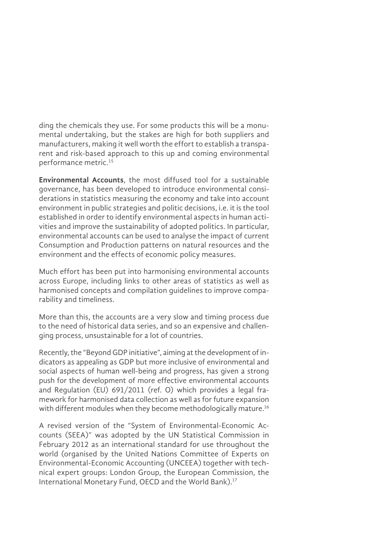ding the chemicals they use. For some products this will be a monumental undertaking, but the stakes are high for both suppliers and manufacturers, making it well worth the effort to establish a transparent and risk-based approach to this up and coming environmental performance metric.15

**Environmental Accounts**, the most diffused tool for a sustainable governance, has been developed to introduce environmental considerations in statistics measuring the economy and take into account environment in public strategies and politic decisions, i.e. it is the tool established in order to identify environmental aspects in human activities and improve the sustainability of adopted politics. In particular, environmental accounts can be used to analyse the impact of current Consumption and Production patterns on natural resources and the environment and the effects of economic policy measures.

Much effort has been put into harmonising environmental accounts across Europe, including links to other areas of statistics as well as harmonised concepts and compilation guidelines to improve comparability and timeliness.

More than this, the accounts are a very slow and timing process due to the need of historical data series, and so an expensive and challenging process, unsustainable for a lot of countries.

Recently, the "Beyond GDP initiative", aiming at the development of indicators as appealing as GDP but more inclusive of environmental and social aspects of human well-being and progress, has given a strong push for the development of more effective environmental accounts and Regulation (EU) 691/2011 (ref. O) which provides a legal framework for harmonised data collection as well as for future expansion with different modules when they become methodologically mature.<sup>16</sup>

A revised version of the "System of Environmental-Economic Accounts (SEEA)" was adopted by the UN Statistical Commission in February 2012 as an international standard for use throughout the world (organised by the United Nations Committee of Experts on Environmental-Economic Accounting (UNCEEA) together with technical expert groups: London Group, the European Commission, the International Monetary Fund, OECD and the World Bank).<sup>17</sup>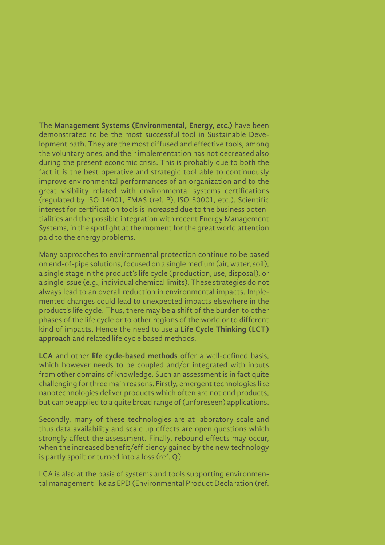The **Management Systems (Environmental, Energy, etc.)** have been demonstrated to be the most successful tool in Sustainable Development path. They are the most diffused and effective tools, among the voluntary ones, and their implementation has not decreased also during the present economic crisis. This is probably due to both the fact it is the best operative and strategic tool able to continuously improve environmental performances of an organization and to the great visibility related with environmental systems certifications (regulated by ISO 14001, EMAS (ref. P), ISO 50001, etc.). Scientific interest for certification tools is increased due to the business potentialities and the possible integration with recent Energy Management Systems, in the spotlight at the moment for the great world attention paid to the energy problems.

Many approaches to environmental protection continue to be based on end-of-pipe solutions, focused on a single medium (air, water, soil), a single stage in the product's life cycle (production, use, disposal), or a single issue (e.g., individual chemical limits). These strategies do not always lead to an overall reduction in environmental impacts. Implemented changes could lead to unexpected impacts elsewhere in the product's life cycle. Thus, there may be a shift of the burden to other phases of the life cycle or to other regions of the world or to different kind of impacts. Hence the need to use a **Life Cycle Thinking (LCT) approach** and related life cycle based methods.

**LCA** and other **life cycle-based methods** offer a well-defined basis, which however needs to be coupled and/or integrated with inputs from other domains of knowledge. Such an assessment is in fact quite challenging for three main reasons. Firstly, emergent technologies like nanotechnologies deliver products which often are not end products, but can be applied to a quite broad range of (unforeseen) applications.

Secondly, many of these technologies are at laboratory scale and thus data availability and scale up effects are open questions which strongly affect the assessment. Finally, rebound effects may occur, when the increased benefit/efficiency gained by the new technology is partly spoilt or turned into a loss (ref. Q).

LCA is also at the basis of systems and tools supporting environmental management like as EPD (Environmental Product Declaration (ref.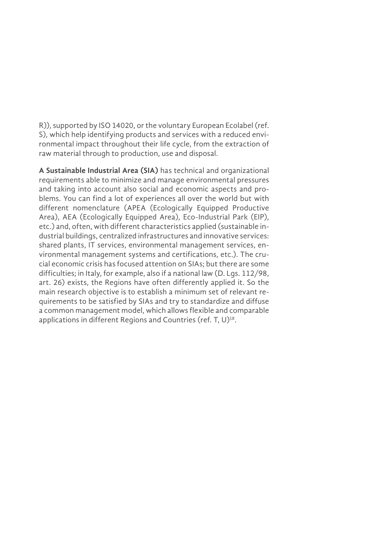R)), supported by ISO 14020, or the voluntary European Ecolabel (ref. S), which help identifying products and services with a reduced environmental impact throughout their life cycle, from the extraction of raw material through to production, use and disposal.

**A Sustainable Industrial Area (SIA)** has technical and organizational requirements able to minimize and manage environmental pressures and taking into account also social and economic aspects and problems. You can find a lot of experiences all over the world but with different nomenclature (APEA (Ecologically Equipped Productive Area), AEA (Ecologically Equipped Area), Eco-Industrial Park (EIP), etc.) and, often, with different characteristics applied (sustainable industrial buildings, centralized infrastructures and innovative services: shared plants, IT services, environmental management services, environmental management systems and certifications, etc.). The crucial economic crisis has focused attention on SIAs; but there are some difficulties; in Italy, for example, also if a national law (D. Lgs. 112/98, art. 26) exists, the Regions have often differently applied it. So the main research objective is to establish a minimum set of relevant requirements to be satisfied by SIAs and try to standardize and diffuse a common management model, which allows flexible and comparable applications in different Regions and Countries (ref. T,  $U$ )<sup>18</sup>.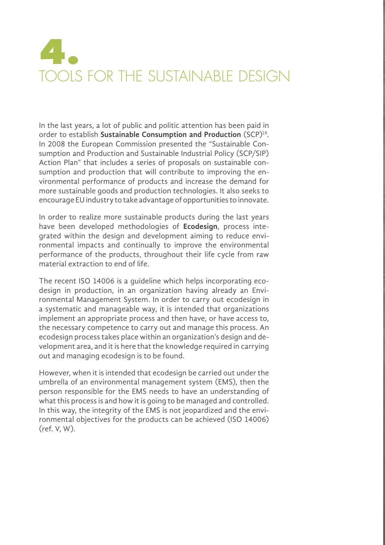# **4.** Tools for the sustainable design

In the last years, a lot of public and politic attention has been paid in order to establish **Sustainable Consumption and Production** (SCP)<sup>19</sup>. In 2008 the European Commission presented the "Sustainable Consumption and Production and Sustainable Industrial Policy (SCP/SIP) Action Plan" that includes a series of proposals on sustainable consumption and production that will contribute to improving the environmental performance of products and increase the demand for more sustainable goods and production technologies. It also seeks to encourage EU industry to take advantage of opportunities to innovate.

In order to realize more sustainable products during the last years have been developed methodologies of **Ecodesign**, process integrated within the design and development aiming to reduce environmental impacts and continually to improve the environmental performance of the products, throughout their life cycle from raw material extraction to end of life.

The recent ISO 14006 is a guideline which helps incorporating ecodesign in production, in an organization having already an Environmental Management System. In order to carry out ecodesign in a systematic and manageable way, it is intended that organizations implement an appropriate process and then have, or have access to, the necessary competence to carry out and manage this process. An ecodesign process takes place within an organization's design and development area, and it is here that the knowledge required in carrying out and managing ecodesign is to be found.

However, when it is intended that ecodesign be carried out under the umbrella of an environmental management system (EMS), then the person responsible for the EMS needs to have an understanding of what this process is and how it is going to be managed and controlled. In this way, the integrity of the EMS is not jeopardized and the environmental objectives for the products can be achieved (ISO 14006) (ref. V, W).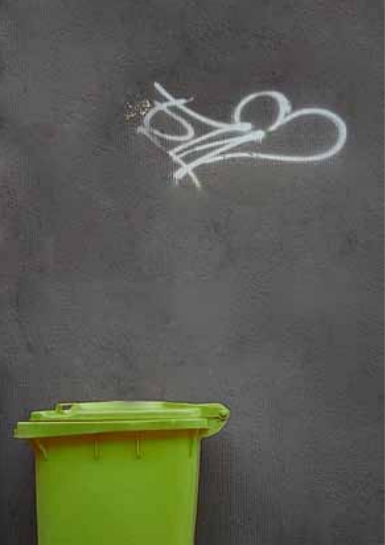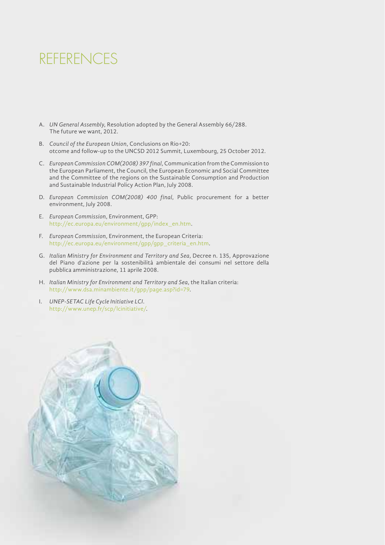#### REFERENCES

- A. *UN General Assembly*, Resolution adopted by the General Assembly 66/288. The future we want, 2012.
- B. *Council of the European Union*, Conclusions on Rio+20: otcome and follow-up to the UNCSD 2012 Summit, Luxembourg, 25 October 2012.
- C. *European Commission COM(2008) 397 final*, Communication from the Commission to the European Parliament, the Council, the European Economic and Social Committee and the Committee of the regions on the Sustainable Consumption and Production and Sustainable Industrial Policy Action Plan, July 2008.
- D. *European Commission COM(2008) 400 final*, Public procurement for a better environment, July 2008.
- E. *European Commission*, Environment, GPP: http://ec.europa.eu/environment/gpp/index\_en.htm.
- F. *European Commission*, Environment, the European Criteria: http://ec.europa.eu/environment/gpp/gpp\_criteria\_en.htm.
- G. *Italian Ministry for Environment and Territory and Sea*, Decree n. 135, Approvazione del Piano d'azione per la sostenibilità ambientale dei consumi nel settore della pubblica amministrazione, 11 aprile 2008.
- H. *Italian Ministry for Environment and Territory and Sea*, the Italian criteria: http://www.dsa.minambiente.it/gpp/page.asp?id=79.
- I. *UNEP-SETAC Life Cycle Initiative LCI*. http://www.unep.fr/scp/lcinitiative/.

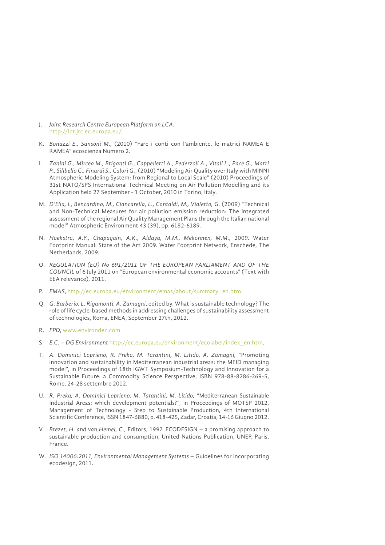- J. *Joint Research Centre European Platform on LCA*. http://lct.jrc.ec.europa.eu/.
- K. *Bonazzi E., Sansoni M.,* (2010) "Fare i conti con l'ambiente, le matrici NAMEA E RAMEA" ecoscienza Numero 2.
- L. *Zanini G., Mircea M., Briganti G., Cappelletti A., Pederzoli A., Vitali L., Pace G., Marri P., Silibello C., Finardi S., Calori G.*, (2010) "Modeling Air Quality over Italy with MINNI Atmospheric Modeling System: from Regional to Local Scale" (2010) Proceedings of 31st NATO/SPS International Technical Meeting on Air Pollution Modelling and its Application held 27 September - 1 October, 2010 in Torino, Italy.
- M. *D'Elia, I., Bencardino, M., Ciancarella, L., Contaldi, M., Vialetto, G.* (2009) "Technical and Non-Technical Measures for air pollution emission reduction: The integrated assessment of the regional Air Quality Management Plans through the Italian national model" Atmospheric Environment 43 (39), pp. 6182-6189.
- N. *Hoekstra, A.Y., Chapagain, A.K., Aldaya, M.M., Mekonnen, M.M.,* 2009. Water Footprint Manual: State of the Art 2009. Water Footprint Network, Enschede, The Netherlands. 2009.
- O. *REGULATION (EU) No 691/2011 OF THE EUROPEAN PARLIAMENT AND OF THE COUNCIL* of 6 July 2011 on "European environmental economic accounts" (Text with EEA relevance), 2011.
- P. *EMAS*, http://ec.europa.eu/environment/emas/about/summary\_en.htm.
- Q. *G. Barberio, L. Rigamonti, A. Zamagni*, edited by, What is sustainable technology? The role of life cycle-based methods in addressing challenges of sustainability assessment of technologies, Roma, ENEA, September 27th, 2012.
- R. *EPD*, www.environdec.com
- S. *E.C. DG Environment* http://ec.europa.eu/environment/ecolabel/index\_en.htm.
- T. *A. Dominici Loprieno, R. Preka, M. Tarantini, M. Litido, A. Zamagni,* "Promoting innovation and sustainability in Mediterranean industrial areas: the MEID managing model", in Proceedings of 18th IGWT Symposium-Technology and Innovation for a Sustainable Future: a Commodity Science Perspective, ISBN 978-88-8286-269-5, Rome, 24-28 settembre 2012.
- U. *R. Preka, A. Dominici Loprieno, M. Tarantini, M. Litido,* "Mediterranean Sustainable Industrial Areas: which development potentials?", in Proceedings of MOTSP 2012, Management of Technology - Step to Sustainable Production, 4th International Scientific Conference, ISSN 1847-6880, p. 418-425, Zadar, Croatia, 14-16 Giugno 2012.
- V. *Brezet, H. and van Hemel, C.,* Editors, 1997. ECODESIGN a promising approach to sustainable production and consumption, United Nations Publication, UNEP, Paris, France.
- W. *ISO 14006:2011, Environmental Management Systems* Guidelines for incorporating ecodesign, 2011.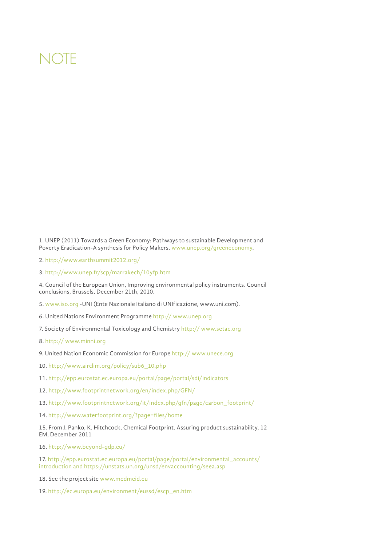#### $J\cap TE$

1. UNEP (2011) Towards a Green Economy: Pathways to sustainable Development and Poverty Eradication-A synthesis for Policy Makers. www.unep.org/greeneconomy.

- 2. http://www.earthsummit2012.org/
- 3. http://www.unep.fr/scp/marrakech/10yfp.htm

4. Council of the European Union, Improving environmental policy instruments. Council conclusions, Brussels, December 21th, 2010.

- 5. www.iso.org -UNI (Ente Nazionale Italiano di UNIficazione, www.uni.com).
- 6. United Nations Environment Programme http:// www.unep.org
- 7. Society of Environmental Toxicology and Chemistry http:// www.setac.org
- 8. http:// www.minni.org
- 9. United Nation Economic Commission for Europe http:// www.unece.org
- 10. http://www.airclim.org/policy/sub6\_10.php
- 11. http://epp.eurostat.ec.europa.eu/portal/page/portal/sdi/indicators
- 12. http://www.footprintnetwork.org/en/index.php/GFN/
- 13. http://www.footprintnetwork.org/it/index.php/gfn/page/carbon\_footprint/
- 14. http://www.waterfootprint.org/?page=files/home

15. From J. Panko, K. Hitchcock, Chemical Footprint. Assuring product sustainability, 12 EM, December 2011

16. http://www.beyond-gdp.eu/

17. http://epp.eurostat.ec.europa.eu/portal/page/portal/environmental\_accounts/ introduction and https://unstats.un.org/unsd/envaccounting/seea.asp

- 18. See the project site www.medmeid.eu
- 19. http://ec.europa.eu/environment/eussd/escp\_en.htm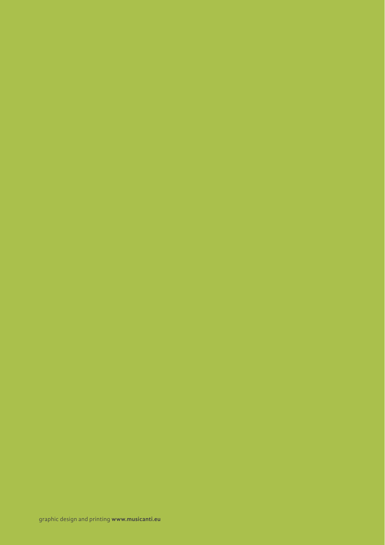graphic design and printing **www.musicanti.eu**